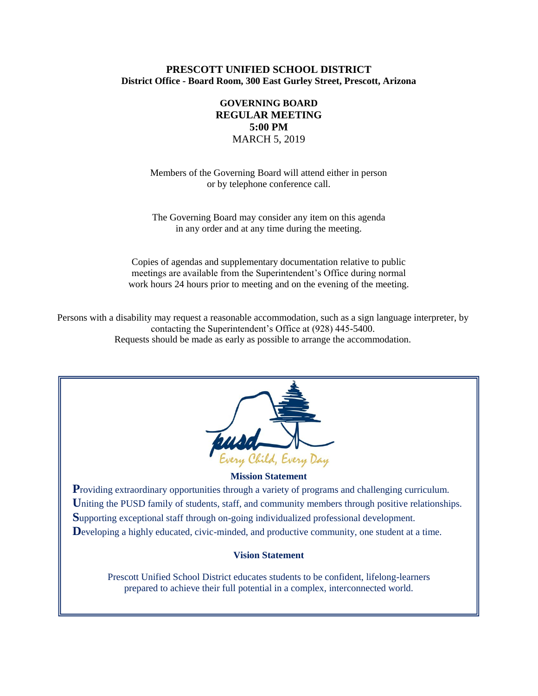## **PRESCOTT UNIFIED SCHOOL DISTRICT District Office - Board Room, 300 East Gurley Street, Prescott, Arizona**

# **GOVERNING BOARD REGULAR MEETING 5:00 PM** MARCH 5, 2019

Members of the Governing Board will attend either in person or by telephone conference call.

The Governing Board may consider any item on this agenda in any order and at any time during the meeting.

Copies of agendas and supplementary documentation relative to public meetings are available from the Superintendent's Office during normal work hours 24 hours prior to meeting and on the evening of the meeting.

Persons with a disability may request a reasonable accommodation, such as a sign language interpreter, by contacting the Superintendent's Office at (928) 445-5400. Requests should be made as early as possible to arrange the accommodation.



### **Mission Statement**

**Providing extraordinary opportunities through a variety of programs and challenging curriculum.** Uniting the PUSD family of students, staff, and community members through positive relationships. **S**upporting exceptional staff through on-going individualized professional development. Developing a highly educated, civic-minded, and productive community, one student at a time.

### **Vision Statement**

Prescott Unified School District educates students to be confident, lifelong-learners prepared to achieve their full potential in a complex, interconnected world.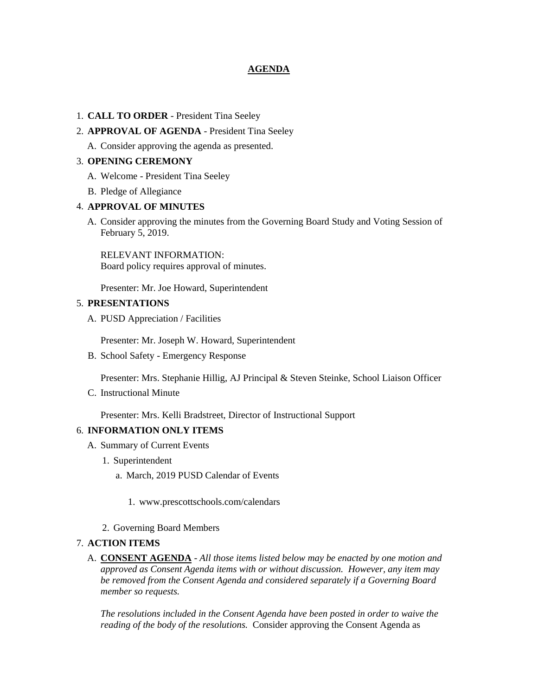## **AGENDA**

### 1. **CALL TO ORDER** - President Tina Seeley

### 2. **APPROVAL OF AGENDA** - President Tina Seeley

A. Consider approving the agenda as presented.

### 3. **OPENING CEREMONY**

- A. Welcome President Tina Seeley
- B. Pledge of Allegiance

### 4. **APPROVAL OF MINUTES**

A. Consider approving the minutes from the Governing Board Study and Voting Session of February 5, 2019.

RELEVANT INFORMATION: Board policy requires approval of minutes.

Presenter: Mr. Joe Howard, Superintendent

### 5. **PRESENTATIONS**

A. PUSD Appreciation / Facilities

Presenter: Mr. Joseph W. Howard, Superintendent

B. School Safety - Emergency Response

Presenter: Mrs. Stephanie Hillig, AJ Principal & Steven Steinke, School Liaison Officer

C. Instructional Minute

Presenter: Mrs. Kelli Bradstreet, Director of Instructional Support

## 6. **INFORMATION ONLY ITEMS**

- A. Summary of Current Events
	- 1. Superintendent
		- a. March, 2019 PUSD Calendar of Events
			- 1. www.prescottschools.com/calendars
	- 2. Governing Board Members

## 7. **ACTION ITEMS**

A. **CONSENT AGENDA** - *All those items listed below may be enacted by one motion and approved as Consent Agenda items with or without discussion. However, any item may be removed from the Consent Agenda and considered separately if a Governing Board member so requests.*

*The resolutions included in the Consent Agenda have been posted in order to waive the reading of the body of the resolutions.* Consider approving the Consent Agenda as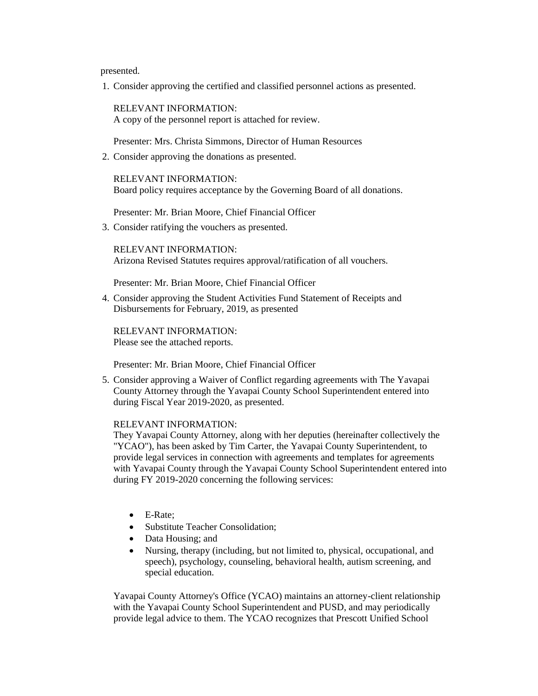presented.

1. Consider approving the certified and classified personnel actions as presented.

RELEVANT INFORMATION: A copy of the personnel report is attached for review.

Presenter: Mrs. Christa Simmons, Director of Human Resources

2. Consider approving the donations as presented.

RELEVANT INFORMATION: Board policy requires acceptance by the Governing Board of all donations.

Presenter: Mr. Brian Moore, Chief Financial Officer

3. Consider ratifying the vouchers as presented.

RELEVANT INFORMATION: Arizona Revised Statutes requires approval/ratification of all vouchers.

Presenter: Mr. Brian Moore, Chief Financial Officer

4. Consider approving the Student Activities Fund Statement of Receipts and Disbursements for February, 2019, as presented

RELEVANT INFORMATION: Please see the attached reports.

Presenter: Mr. Brian Moore, Chief Financial Officer

5. Consider approving a Waiver of Conflict regarding agreements with The Yavapai County Attorney through the Yavapai County School Superintendent entered into during Fiscal Year 2019-2020, as presented.

#### RELEVANT INFORMATION:

They Yavapai County Attorney, along with her deputies (hereinafter collectively the "YCAO"), has been asked by Tim Carter, the Yavapai County Superintendent, to provide legal services in connection with agreements and templates for agreements with Yavapai County through the Yavapai County School Superintendent entered into during FY 2019-2020 concerning the following services:

- E-Rate:
- Substitute Teacher Consolidation;
- Data Housing; and
- Nursing, therapy (including, but not limited to, physical, occupational, and speech), psychology, counseling, behavioral health, autism screening, and special education.

Yavapai County Attorney's Office (YCAO) maintains an attorney-client relationship with the Yavapai County School Superintendent and PUSD, and may periodically provide legal advice to them. The YCAO recognizes that Prescott Unified School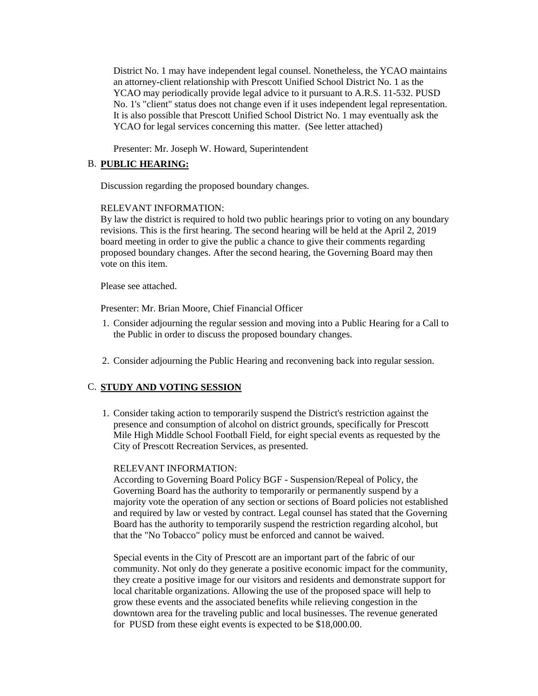District No. 1 may have independent legal counsel. Nonetheless, the YCAO maintains an attorney-client relationship with Prescott Unified School District No. 1 as the YCAO may periodically provide legal advice to it pursuant to A.R.S. 11-532. PUSD No. 1's "client" status does not change even if it uses independent legal representation. It is also possible that Prescott Unified School District No. 1 may eventually ask the YCAO for legal services concerning this matter. (See letter attached)

Presenter: Mr. Joseph W. Howard, Superintendent

## B. **PUBLIC HEARING:**

Discussion regarding the proposed boundary changes.

### RELEVANT INFORMATION:

By law the district is required to hold two public hearings prior to voting on any boundary revisions. This is the first hearing. The second hearing will be held at the April 2, 2019 board meeting in order to give the public a chance to give their comments regarding proposed boundary changes. After the second hearing, the Governing Board may then vote on this item.

Please see attached.

Presenter: Mr. Brian Moore, Chief Financial Officer

- 1. Consider adjourning the regular session and moving into a Public Hearing for a Call to the Public in order to discuss the proposed boundary changes.
- 2. Consider adjourning the Public Hearing and reconvening back into regular session.

## C. **STUDY AND VOTING SESSION**

1. Consider taking action to temporarily suspend the District's restriction against the presence and consumption of alcohol on district grounds, specifically for Prescott Mile High Middle School Football Field, for eight special events as requested by the City of Prescott Recreation Services, as presented.

### RELEVANT INFORMATION:

According to Governing Board Policy BGF - Suspension/Repeal of Policy, the Governing Board has the authority to temporarily or permanently suspend by a majority vote the operation of any section or sections of Board policies not established and required by law or vested by contract. Legal counsel has stated that the Governing Board has the authority to temporarily suspend the restriction regarding alcohol, but that the "No Tobacco" policy must be enforced and cannot be waived.

Special events in the City of Prescott are an important part of the fabric of our community. Not only do they generate a positive economic impact for the community, they create a positive image for our visitors and residents and demonstrate support for local charitable organizations. Allowing the use of the proposed space will help to grow these events and the associated benefits while relieving congestion in the downtown area for the traveling public and local businesses. The revenue generated for PUSD from these eight events is expected to be \$18,000.00.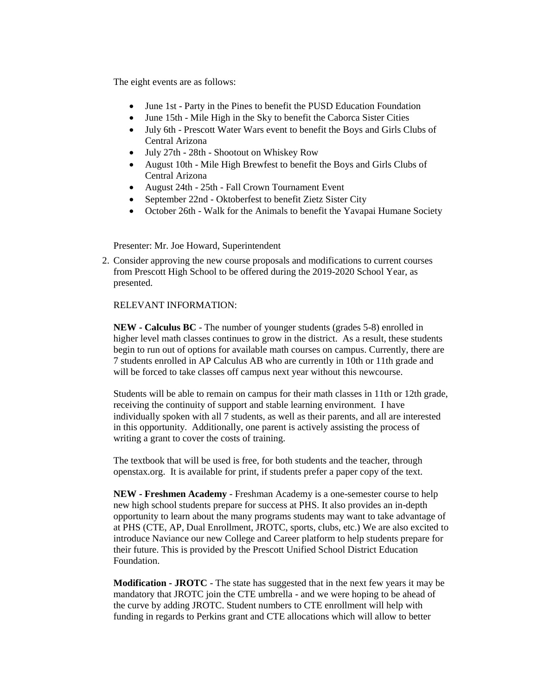The eight events are as follows:

- June 1st Party in the Pines to benefit the PUSD Education Foundation
- June 15th Mile High in the Sky to benefit the Caborca Sister Cities
- July 6th Prescott Water Wars event to benefit the Boys and Girls Clubs of Central Arizona
- July 27th 28th Shootout on Whiskey Row
- August 10th Mile High Brewfest to benefit the Boys and Girls Clubs of Central Arizona
- August 24th 25th Fall Crown Tournament Event
- September 22nd Oktoberfest to benefit Zietz Sister City
- October 26th Walk for the Animals to benefit the Yavapai Humane Society

Presenter: Mr. Joe Howard, Superintendent

2. Consider approving the new course proposals and modifications to current courses from Prescott High School to be offered during the 2019-2020 School Year, as presented.

## RELEVANT INFORMATION:

**NEW - Calculus BC** - The number of younger students (grades 5-8) enrolled in higher level math classes continues to grow in the district. As a result, these students begin to run out of options for available math courses on campus. Currently, there are 7 students enrolled in AP Calculus AB who are currently in 10th or 11th grade and will be forced to take classes off campus next year without this newcourse.

Students will be able to remain on campus for their math classes in 11th or 12th grade, receiving the continuity of support and stable learning environment. I have individually spoken with all 7 students, as well as their parents, and all are interested in this opportunity. Additionally, one parent is actively assisting the process of writing a grant to cover the costs of training.

The textbook that will be used is free, for both students and the teacher, through openstax.org. It is available for print, if students prefer a paper copy of the text.

**NEW - Freshmen Academy** - Freshman Academy is a one-semester course to help new high school students prepare for success at PHS. It also provides an in-depth opportunity to learn about the many programs students may want to take advantage of at PHS (CTE, AP, Dual Enrollment, JROTC, sports, clubs, etc.) We are also excited to introduce Naviance our new College and Career platform to help students prepare for their future. This is provided by the Prescott Unified School District Education Foundation.

**Modification - JROTC** - The state has suggested that in the next few years it may be mandatory that JROTC join the CTE umbrella - and we were hoping to be ahead of the curve by adding JROTC. Student numbers to CTE enrollment will help with funding in regards to Perkins grant and CTE allocations which will allow to better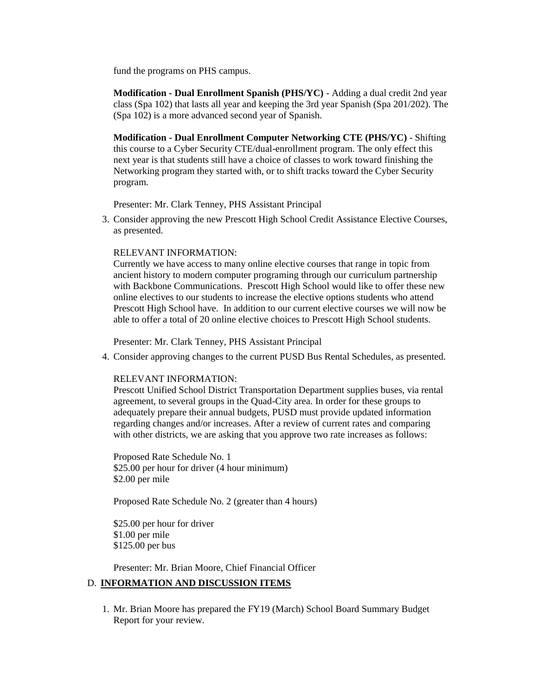fund the programs on PHS campus.

**Modification - Dual Enrollment Spanish (PHS/YC)** - Adding a dual credit 2nd year class (Spa 102) that lasts all year and keeping the 3rd year Spanish (Spa 201/202). The (Spa 102) is a more advanced second year of Spanish.

**Modification - Dual Enrollment Computer Networking CTE (PHS/YC)** - Shifting this course to a Cyber Security CTE/dual-enrollment program. The only effect this next year is that students still have a choice of classes to work toward finishing the Networking program they started with, or to shift tracks toward the Cyber Security program.

Presenter: Mr. Clark Tenney, PHS Assistant Principal

3. Consider approving the new Prescott High School Credit Assistance Elective Courses, as presented.

RELEVANT INFORMATION:

Currently we have access to many online elective courses that range in topic from ancient history to modern computer programing through our curriculum partnership with Backbone Communications. Prescott High School would like to offer these new online electives to our students to increase the elective options students who attend Prescott High School have. In addition to our current elective courses we will now be able to offer a total of 20 online elective choices to Prescott High School students.

Presenter: Mr. Clark Tenney, PHS Assistant Principal

4. Consider approving changes to the current PUSD Bus Rental Schedules, as presented.

## RELEVANT INFORMATION:

Prescott Unified School District Transportation Department supplies buses, via rental agreement, to several groups in the Quad-City area. In order for these groups to adequately prepare their annual budgets, PUSD must provide updated information regarding changes and/or increases. After a review of current rates and comparing with other districts, we are asking that you approve two rate increases as follows:

Proposed Rate Schedule No. 1 \$25.00 per hour for driver (4 hour minimum) \$2.00 per mile

Proposed Rate Schedule No. 2 (greater than 4 hours)

\$25.00 per hour for driver \$1.00 per mile \$125.00 per bus

Presenter: Mr. Brian Moore, Chief Financial Officer

## D. **INFORMATION AND DISCUSSION ITEMS**

1. Mr. Brian Moore has prepared the FY19 (March) School Board Summary Budget Report for your review.